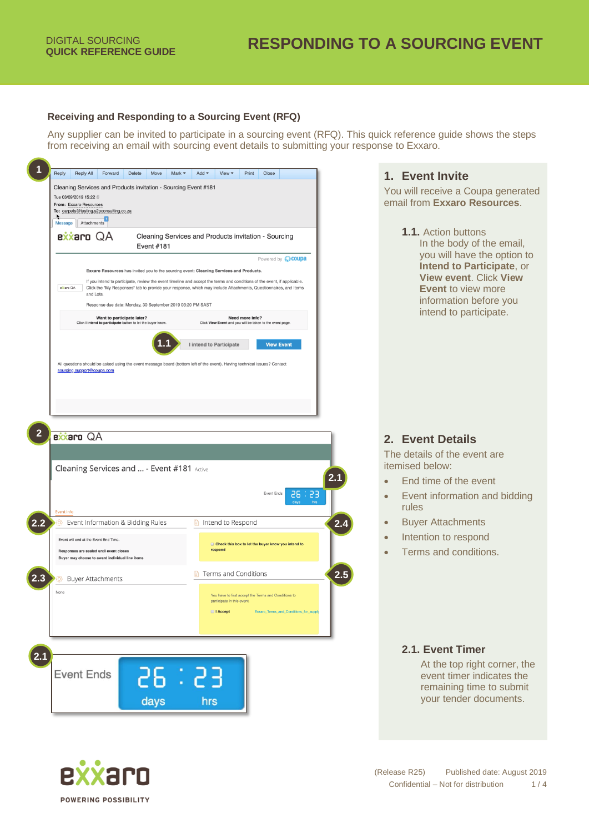#### **Receiving and Responding to a Sourcing Event (RFQ)**

Any supplier can be invited to participate in a sourcing event (RFQ). This quick reference guide shows the steps from receiving an email with sourcing event details to submitting your response to Exxaro.

| Exxaro Resources has invited you to the sourcing event: Cleaning Services and Products.                                  |                                                                                                                                                                                                                                             |
|--------------------------------------------------------------------------------------------------------------------------|---------------------------------------------------------------------------------------------------------------------------------------------------------------------------------------------------------------------------------------------|
|                                                                                                                          | Powered by <b>WOUPA</b>                                                                                                                                                                                                                     |
| eklaro QA<br>and Lots.                                                                                                   | If you intend to participate, review the event timeline and accept the terms and conditions of the event, if applicable.<br>Click the "My Responses" tab to provide your response, which may include Attachments, Questionnaires, and Items |
| Response due date: Monday, 30 September 2019 03:20 PM SAST                                                               |                                                                                                                                                                                                                                             |
| Want to participate later?<br>Click I intend to participate button to let the buyer know.                                | Need more info?<br>Click View Event and you will be taken to the event page.                                                                                                                                                                |
|                                                                                                                          | I intend to Participate<br><b>View Event</b>                                                                                                                                                                                                |
| All questions should be asked using the event message board (bottom left of the event). Having technical issues? Contact |                                                                                                                                                                                                                                             |
| sourcing.support@coupa.com                                                                                               |                                                                                                                                                                                                                                             |
|                                                                                                                          |                                                                                                                                                                                                                                             |
|                                                                                                                          |                                                                                                                                                                                                                                             |
|                                                                                                                          |                                                                                                                                                                                                                                             |
|                                                                                                                          |                                                                                                                                                                                                                                             |
|                                                                                                                          |                                                                                                                                                                                                                                             |
| <b>Rxxaro</b> QA                                                                                                         |                                                                                                                                                                                                                                             |
|                                                                                                                          |                                                                                                                                                                                                                                             |
|                                                                                                                          |                                                                                                                                                                                                                                             |
|                                                                                                                          |                                                                                                                                                                                                                                             |
|                                                                                                                          | <b>Event Ends</b><br>52 : 92<br>days                                                                                                                                                                                                        |
| Cleaning Services and  - Event #181 Active                                                                               |                                                                                                                                                                                                                                             |
| <b>Event Info</b><br>Event Information & Bidding Rules<br>$\circ$                                                        | Đ<br>Intend to Respond                                                                                                                                                                                                                      |
| Event will end at the Event End Time.                                                                                    | Check this box to let the buyer know you intend to                                                                                                                                                                                          |
| Responses are sealed until event closes<br>Buyer may choose to award individual line items                               | respond                                                                                                                                                                                                                                     |
|                                                                                                                          | Terms and Conditions                                                                                                                                                                                                                        |
| <b>Buyer Attachments</b><br>Q.                                                                                           |                                                                                                                                                                                                                                             |
|                                                                                                                          | You have to first accept the Terms and Conditions to<br>participate in this event.                                                                                                                                                          |
| None                                                                                                                     | I Accept<br>Exxaro_Terms_and_Conditions_for_supp                                                                                                                                                                                            |
|                                                                                                                          |                                                                                                                                                                                                                                             |

## **1. Event Invite**

You will receive a Coupa generated email from **Exxaro Resources**.

> **1.1.** Action buttons In the body of the email, you will have the option to **Intend to Participate**, or **View event**. Click **View Event** to view more information before you intend to participate.

## **2. Event Details**

The details of the event are itemised below:

- End time of the event
- Event information and bidding rules
- Buyer Attachments
- Intention to respond
- Terms and conditions.

## **2.1. Event Timer**

At the top right corner, the event timer indicates the remaining time to submit your tender documents.

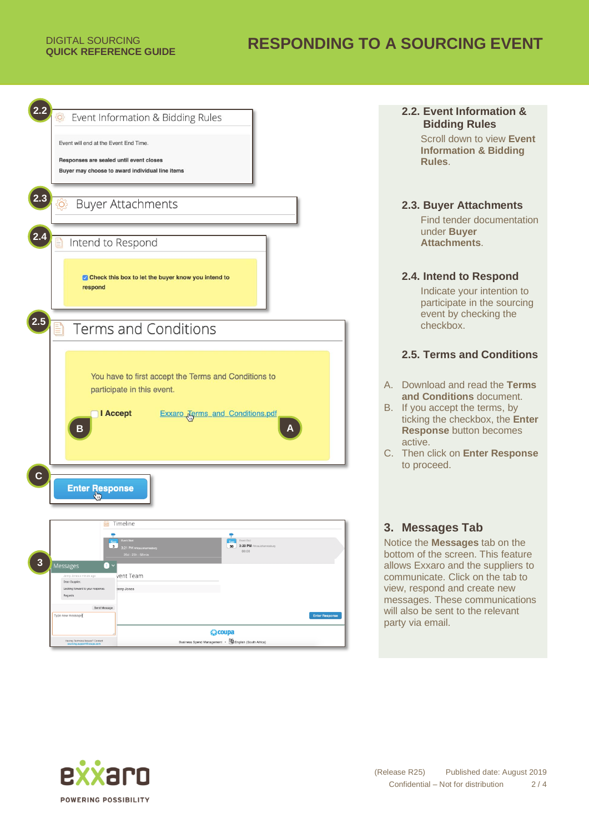## **RESPONDING TO A SOURCING EVENT**

| Event Information & Bidding Rules<br>Event will end at the Event End Time.                                                                                                                                                                                             |
|------------------------------------------------------------------------------------------------------------------------------------------------------------------------------------------------------------------------------------------------------------------------|
| Responses are sealed until event closes<br>Buyer may choose to award individual line items                                                                                                                                                                             |
| 2.3<br><b>Buyer Attachments</b><br><u>{ଠ</u> }                                                                                                                                                                                                                         |
| Intend to Respond                                                                                                                                                                                                                                                      |
| Check this box to let the buyer know you intend to<br>respond                                                                                                                                                                                                          |
| <b>Terms and Conditions</b>                                                                                                                                                                                                                                            |
| You have to first accept the Terms and Conditions to<br>participate in this event.<br><b>I</b> Accept<br><b>Exxaro Jerms</b> and <b>Conditions.pdf</b><br>В                                                                                                            |
| $\mathbf c$<br>Enter Response                                                                                                                                                                                                                                          |
| Timeline<br>$\mathbb{R}^3$<br>٠<br><b>Fyret Fod</b><br>Ser<br>$\overline{\mathbf{3}}$<br>30 3:20 PM Attica/Johannesburg<br>3:21 PM Africal Johannesburg<br>00:00<br>26d : 23h : 58min<br>3<br>Messages<br>0<br>vent Team<br>lenny Jones a minute ago<br>Dear Supplier, |
| Looking forward to your response.<br>enny Jones<br>Regards<br>Send Message<br>Type new message}<br><b>Enter Response</b><br>◎coupa                                                                                                                                     |
| Having Technical Issues? Contact<br>Business Spend Management · <b>4</b> English (South Africa)                                                                                                                                                                        |

## **2.2. Event Information & Bidding Rules**

Scroll down to view **Event Information & Bidding Rules**.

## **2.3. Buyer Attachments**

Find tender documentation under **Buyer Attachments**.

## **2.4. Intend to Respond**

Indicate your intention to participate in the sourcing event by checking the checkbox.

## **2.5. Terms and Conditions**

- A. Download and read the **Terms and Conditions** document.
- B. If you accept the terms, by ticking the checkbox, the **Enter Response** button becomes active.
- C. Then click on **Enter Response** to proceed.

## **3. Messages Tab**

Notice the **Messages** tab on the bottom of the screen. This feature allows Exxaro and the suppliers to communicate. Click on the tab to view, respond and create new messages. These communications will also be sent to the relevant party via email.

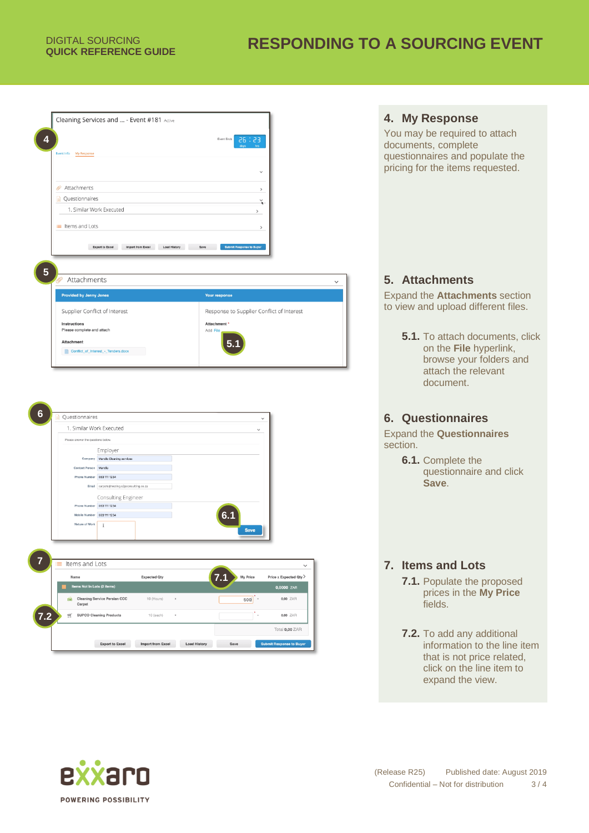# **QUICK REFERENCE GUIDE RESPONDING TO A SOURCING EVENT**

| Cleaning Services and  - Event #181 Active         |                             |                                           |  |
|----------------------------------------------------|-----------------------------|-------------------------------------------|--|
|                                                    | Event Ends                  | 58 : 53                                   |  |
| My Response<br><b>Event Info</b>                   |                             | days                                      |  |
|                                                    |                             |                                           |  |
|                                                    |                             | $\checkmark$                              |  |
| Attachments<br>O                                   |                             | $\rightarrow$                             |  |
| Questionnaires                                     |                             |                                           |  |
| 1. Similar Work Executed                           |                             | $\,>\,$                                   |  |
|                                                    |                             |                                           |  |
|                                                    |                             |                                           |  |
| E Items and Lots                                   |                             | $\rightarrow$                             |  |
| <b>Export to Excel</b><br><b>Import from Excel</b> | <b>Load History</b><br>Save | Submit Response to Buyer                  |  |
|                                                    |                             |                                           |  |
|                                                    |                             |                                           |  |
| Attachments                                        |                             |                                           |  |
| <b>Provided by Jenny Jones</b>                     | Your response               |                                           |  |
| Supplier Conflict of Interest                      |                             | Response to Supplier Conflict of Interest |  |
| Instructions                                       | Attachment *                |                                           |  |
| Please complete and attach                         | Add File                    |                                           |  |
| <b>Attachment</b>                                  | 5 <sub>1</sub>              |                                           |  |



## **4. My Response**

You may be required to attach documents, complete questionnaires and populate the pricing for the items requested.

## **5. Attachments**

Expand the **Attachments** section to view and upload different files.

> **5.1.** To attach documents, click on the **File** hyperlink, browse your folders and attach the relevant document.

## **6. Questionnaires**

Expand the **Questionnaires** section.

> **6.1.** Complete the questionnaire and click **Save**.

## **7. Items and Lots**

- **7.1.** Populate the proposed prices in the **My Price** fields.
- **7.2.** To add any additional information to the line item that is not price related, click on the line item to expand the view.